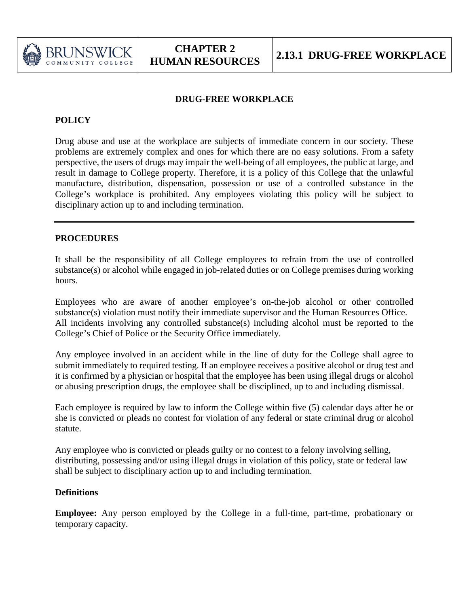

### **DRUG-FREE WORKPLACE**

## **POLICY**

Drug abuse and use at the workplace are subjects of immediate concern in our society. These problems are extremely complex and ones for which there are no easy solutions. From a safety perspective, the users of drugs may impair the well-being of all employees, the public at large, and result in damage to College property. Therefore, it is a policy of this College that the unlawful manufacture, distribution, dispensation, possession or use of a controlled substance in the College's workplace is prohibited. Any employees violating this policy will be subject to disciplinary action up to and including termination.

## **PROCEDURES**

It shall be the responsibility of all College employees to refrain from the use of controlled substance(s) or alcohol while engaged in job-related duties or on College premises during working hours.

Employees who are aware of another employee's on-the-job alcohol or other controlled substance(s) violation must notify their immediate supervisor and the Human Resources Office. All incidents involving any controlled substance(s) including alcohol must be reported to the College's Chief of Police or the Security Office immediately.

Any employee involved in an accident while in the line of duty for the College shall agree to submit immediately to required testing. If an employee receives a positive alcohol or drug test and it is confirmed by a physician or hospital that the employee has been using illegal drugs or alcohol or abusing prescription drugs, the employee shall be disciplined, up to and including dismissal.

Each employee is required by law to inform the College within five (5) calendar days after he or she is convicted or pleads no contest for violation of any federal or state criminal drug or alcohol statute.

Any employee who is convicted or pleads guilty or no contest to a felony involving selling, distributing, possessing and/or using illegal drugs in violation of this policy, state or federal law shall be subject to disciplinary action up to and including termination.

## **Definitions**

**Employee:** Any person employed by the College in a full-time, part-time, probationary or temporary capacity.